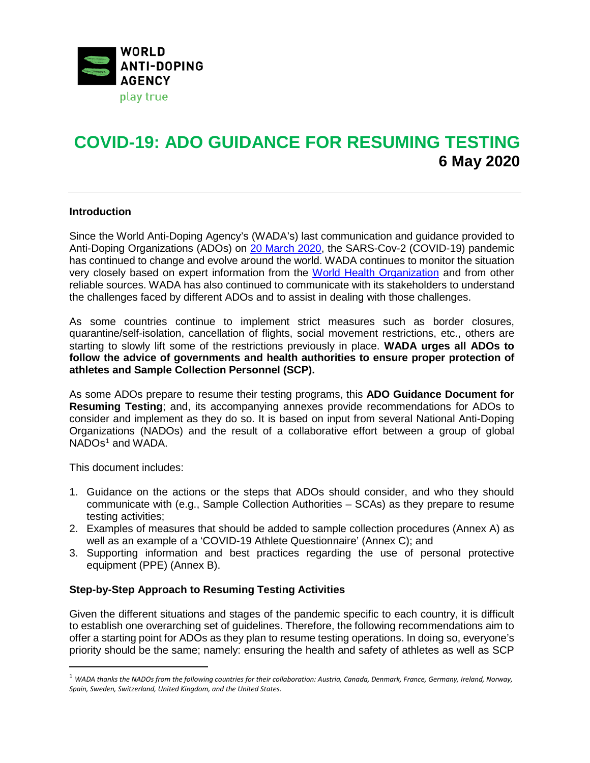

# **COVID-19: ADO GUIDANCE FOR RESUMING TESTING 6 May 2020**

# **Introduction**

Since the World Anti-Doping Agency's (WADA's) last communication and guidance provided to Anti-Doping Organizations (ADOs) on [20 March 2020,](https://www.wada-ama.org/en/media/news/2020-03/wada-updates-its-covid-19-guidance-for-anti-doping-organizations) the SARS-Cov-2 (COVID-19) pandemic has continued to change and evolve around the world. WADA continues to monitor the situation very closely based on expert information from the [World Health Organization](https://www.who.int/emergencies/diseases/novel-coronavirus-2019) and from other reliable sources. WADA has also continued to communicate with its stakeholders to understand the challenges faced by different ADOs and to assist in dealing with those challenges.

As some countries continue to implement strict measures such as border closures, quarantine/self-isolation, cancellation of flights, social movement restrictions, etc., others are starting to slowly lift some of the restrictions previously in place. **WADA urges all ADOs to follow the advice of governments and health authorities to ensure proper protection of athletes and Sample Collection Personnel (SCP).**

As some ADOs prepare to resume their testing programs, this **ADO Guidance Document for Resuming Testing**; and, its accompanying annexes provide recommendations for ADOs to consider and implement as they do so. It is based on input from several National Anti-Doping Organizations (NADOs) and the result of a collaborative effort between a group of global NADOs<sup>[1](#page-0-0)</sup> and WADA.

This document includes:

1

- 1. Guidance on the actions or the steps that ADOs should consider, and who they should communicate with (e.g., Sample Collection Authorities – SCAs) as they prepare to resume testing activities;
- 2. Examples of measures that should be added to sample collection procedures (Annex A) as well as an example of a 'COVID-19 Athlete Questionnaire' (Annex C); and
- 3. Supporting information and best practices regarding the use of personal protective equipment (PPE) (Annex B).

### **Step-by-Step Approach to Resuming Testing Activities**

Given the different situations and stages of the pandemic specific to each country, it is difficult to establish one overarching set of guidelines. Therefore, the following recommendations aim to offer a starting point for ADOs as they plan to resume testing operations. In doing so, everyone's priority should be the same; namely: ensuring the health and safety of athletes as well as SCP

<span id="page-0-0"></span><sup>1</sup> *WADA thanks the NADOs from the following countries for their collaboration: Austria, Canada, Denmark, France, Germany, Ireland, Norway, Spain, Sweden, Switzerland, United Kingdom, and the United States.*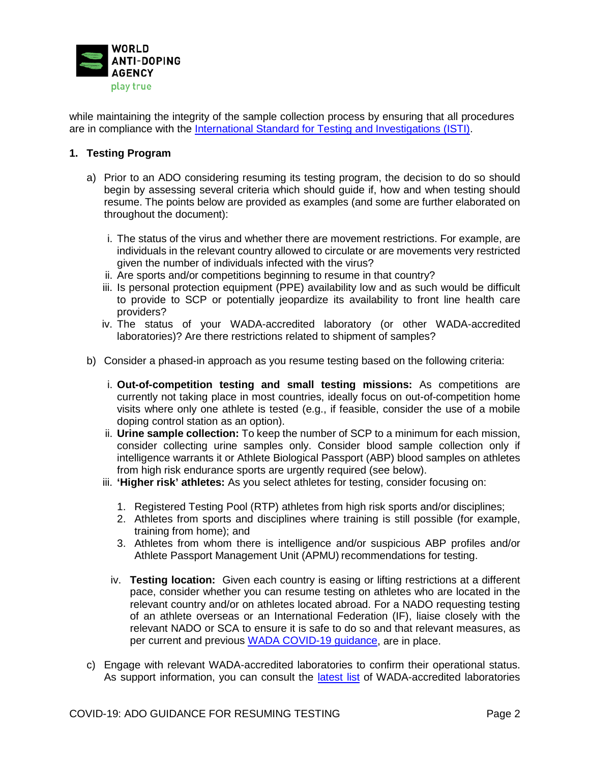

while maintaining the integrity of the sample collection process by ensuring that all procedures are in compliance with the [International Standard for Testing and Investigations \(ISTI\).](https://www.wada-ama.org/sites/default/files/resources/files/isti_march2019.pdf)

# **1. Testing Program**

- a) Prior to an ADO considering resuming its testing program, the decision to do so should begin by assessing several criteria which should guide if, how and when testing should resume. The points below are provided as examples (and some are further elaborated on throughout the document):
	- i. The status of the virus and whether there are movement restrictions. For example, are individuals in the relevant country allowed to circulate or are movements very restricted given the number of individuals infected with the virus?
	- ii. Are sports and/or competitions beginning to resume in that country?
	- iii. Is personal protection equipment (PPE) availability low and as such would be difficult to provide to SCP or potentially jeopardize its availability to front line health care providers?
	- iv. The status of your WADA-accredited laboratory (or other WADA-accredited laboratories)? Are there restrictions related to shipment of samples?
- b) Consider a phased-in approach as you resume testing based on the following criteria:
	- i. **Out-of-competition testing and small testing missions:** As competitions are currently not taking place in most countries, ideally focus on out-of-competition home visits where only one athlete is tested (e.g., if feasible, consider the use of a mobile doping control station as an option).
	- ii. **Urine sample collection:** To keep the number of SCP to a minimum for each mission, consider collecting urine samples only. Consider blood sample collection only if intelligence warrants it or Athlete Biological Passport (ABP) blood samples on athletes from high risk endurance sports are urgently required (see below).
	- iii. **'Higher risk' athletes:** As you select athletes for testing, consider focusing on:
		- 1. Registered Testing Pool (RTP) athletes from high risk sports and/or disciplines;
		- 2. Athletes from sports and disciplines where training is still possible (for example, training from home); and
		- 3. Athletes from whom there is intelligence and/or suspicious ABP profiles and/or Athlete Passport Management Unit (APMU) recommendations for testing.
		- iv. **Testing location:** Given each country is easing or lifting restrictions at a different pace, consider whether you can resume testing on athletes who are located in the relevant country and/or on athletes located abroad. For a NADO requesting testing of an athlete overseas or an International Federation (IF), liaise closely with the relevant NADO or SCA to ensure it is safe to do so and that relevant measures, as per current and previous [WADA COVID-19 guidance,](https://www.wada-ama.org/en/covid-19-updates) are in place.
- c) Engage with relevant WADA-accredited laboratories to confirm their operational status. As support information, you can consult the *latest list* of WADA-accredited laboratories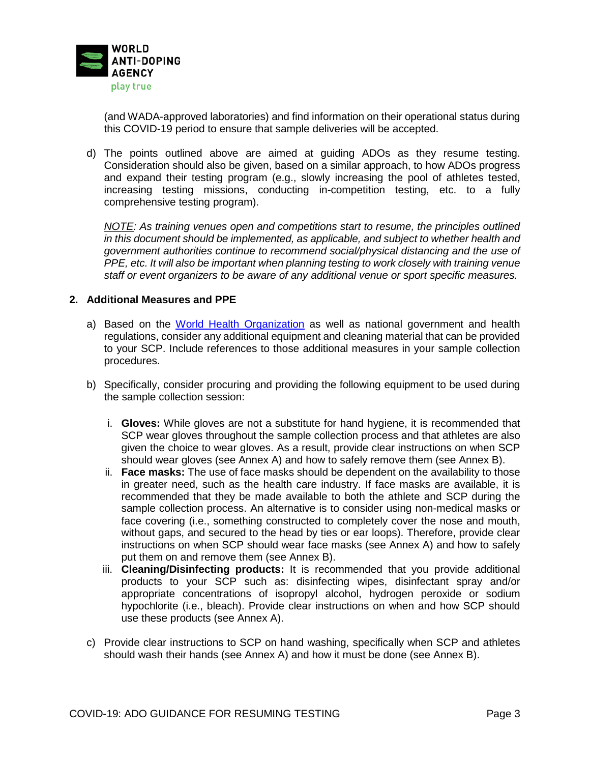

(and WADA-approved laboratories) and find information on their operational status during this COVID-19 period to ensure that sample deliveries will be accepted.

d) The points outlined above are aimed at guiding ADOs as they resume testing. Consideration should also be given, based on a similar approach, to how ADOs progress and expand their testing program (e.g., slowly increasing the pool of athletes tested, increasing testing missions, conducting in-competition testing, etc. to a fully comprehensive testing program).

*NOTE: As training venues open and competitions start to resume, the principles outlined in this document should be implemented, as applicable, and subject to whether health and government authorities continue to recommend social/physical distancing and the use of PPE, etc. It will also be important when planning testing to work closely with training venue staff or event organizers to be aware of any additional venue or sport specific measures.*

# **2. Additional Measures and PPE**

- a) Based on the [World Health Organization](https://www.who.int/emergencies/diseases/novel-coronavirus-2019) as well as national government and health regulations, consider any additional equipment and cleaning material that can be provided to your SCP. Include references to those additional measures in your sample collection procedures.
- b) Specifically, consider procuring and providing the following equipment to be used during the sample collection session:
	- i. **Gloves:** While gloves are not a substitute for hand hygiene, it is recommended that SCP wear gloves throughout the sample collection process and that athletes are also given the choice to wear gloves. As a result, provide clear instructions on when SCP should wear gloves (see Annex A) and how to safely remove them (see Annex B).
	- ii. **Face masks:** The use of face masks should be dependent on the availability to those in greater need, such as the health care industry. If face masks are available, it is recommended that they be made available to both the athlete and SCP during the sample collection process. An alternative is to consider using non-medical masks or face covering (i.e., something constructed to completely cover the nose and mouth, without gaps, and secured to the head by ties or ear loops). Therefore, provide clear instructions on when SCP should wear face masks (see Annex A) and how to safely put them on and remove them (see Annex B).
	- iii. **Cleaning/Disinfecting products:** It is recommended that you provide additional products to your SCP such as: disinfecting wipes, disinfectant spray and/or appropriate concentrations of isopropyl alcohol, hydrogen peroxide or sodium hypochlorite (i.e., bleach). Provide clear instructions on when and how SCP should use these products (see Annex A).
- c) Provide clear instructions to SCP on hand washing, specifically when SCP and athletes should wash their hands (see Annex A) and how it must be done (see Annex B).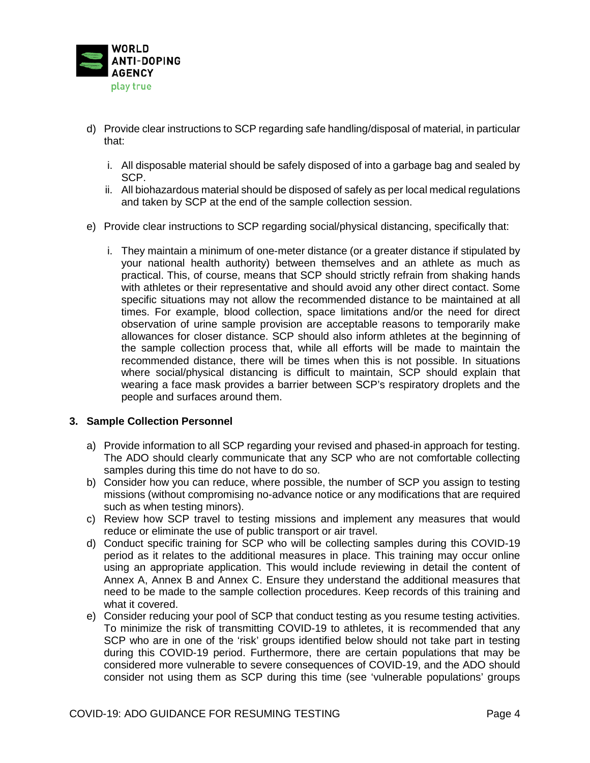

- d) Provide clear instructions to SCP regarding safe handling/disposal of material, in particular that:
	- i. All disposable material should be safely disposed of into a garbage bag and sealed by SCP.
	- ii. All biohazardous material should be disposed of safely as per local medical regulations and taken by SCP at the end of the sample collection session.
- e) Provide clear instructions to SCP regarding social/physical distancing, specifically that:
	- i. They maintain a minimum of one-meter distance (or a greater distance if stipulated by your national health authority) between themselves and an athlete as much as practical. This, of course, means that SCP should strictly refrain from shaking hands with athletes or their representative and should avoid any other direct contact. Some specific situations may not allow the recommended distance to be maintained at all times. For example, blood collection, space limitations and/or the need for direct observation of urine sample provision are acceptable reasons to temporarily make allowances for closer distance. SCP should also inform athletes at the beginning of the sample collection process that, while all efforts will be made to maintain the recommended distance, there will be times when this is not possible. In situations where social/physical distancing is difficult to maintain, SCP should explain that wearing a face mask provides a barrier between SCP's respiratory droplets and the people and surfaces around them.

### **3. Sample Collection Personnel**

- a) Provide information to all SCP regarding your revised and phased-in approach for testing. The ADO should clearly communicate that any SCP who are not comfortable collecting samples during this time do not have to do so.
- b) Consider how you can reduce, where possible, the number of SCP you assign to testing missions (without compromising no-advance notice or any modifications that are required such as when testing minors).
- c) Review how SCP travel to testing missions and implement any measures that would reduce or eliminate the use of public transport or air travel.
- d) Conduct specific training for SCP who will be collecting samples during this COVID-19 period as it relates to the additional measures in place. This training may occur online using an appropriate application. This would include reviewing in detail the content of Annex A, Annex B and Annex C. Ensure they understand the additional measures that need to be made to the sample collection procedures. Keep records of this training and what it covered.
- e) Consider reducing your pool of SCP that conduct testing as you resume testing activities. To minimize the risk of transmitting COVID-19 to athletes, it is recommended that any SCP who are in one of the 'risk' groups identified below should not take part in testing during this COVID-19 period. Furthermore, there are certain populations that may be considered more vulnerable to severe consequences of COVID-19, and the ADO should consider not using them as SCP during this time (see 'vulnerable populations' groups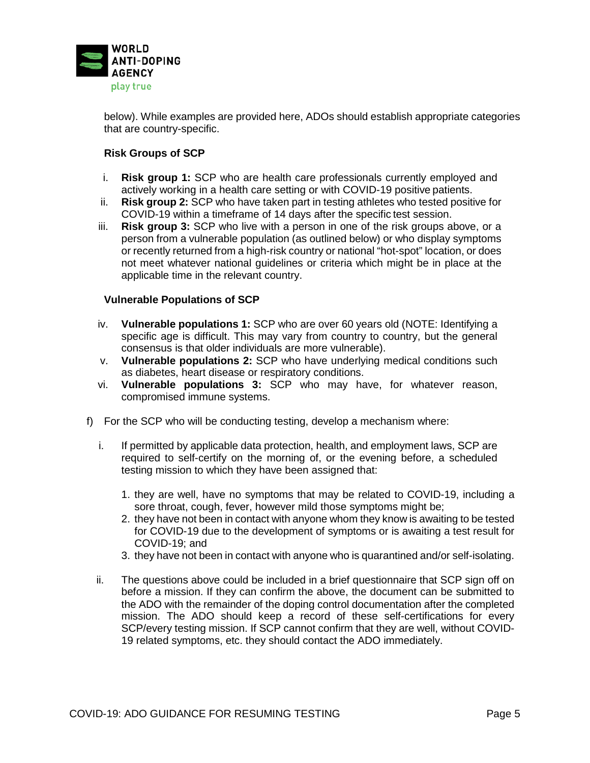

below). While examples are provided here, ADOs should establish appropriate categories that are country-specific.

# **Risk Groups of SCP**

- i. **Risk group 1:** SCP who are health care professionals currently employed and actively working in a health care setting or with COVID-19 positive patients.
- ii. **Risk group 2:** SCP who have taken part in testing athletes who tested positive for COVID-19 within a timeframe of 14 days after the specific test session.
- iii. **Risk group 3:** SCP who live with a person in one of the risk groups above, or a person from a vulnerable population (as outlined below) or who display symptoms or recently returned from a high-risk country or national "hot-spot" location, or does not meet whatever national guidelines or criteria which might be in place at the applicable time in the relevant country.

# **Vulnerable Populations of SCP**

- iv. **Vulnerable populations 1:** SCP who are over 60 years old (NOTE: Identifying a specific age is difficult. This may vary from country to country, but the general consensus is that older individuals are more vulnerable).
- v. **Vulnerable populations 2:** SCP who have underlying medical conditions such as diabetes, heart disease or respiratory conditions.
- vi. **Vulnerable populations 3:** SCP who may have, for whatever reason, compromised immune systems.
- f) For the SCP who will be conducting testing, develop a mechanism where:
	- i. If permitted by applicable data protection, health, and employment laws, SCP are required to self-certify on the morning of, or the evening before, a scheduled testing mission to which they have been assigned that:
		- 1. they are well, have no symptoms that may be related to COVID-19, including a sore throat, cough, fever, however mild those symptoms might be;
		- 2. they have not been in contact with anyone whom they know is awaiting to be tested for COVID-19 due to the development of symptoms or is awaiting a test result for COVID-19; and
		- 3. they have not been in contact with anyone who is quarantined and/or self-isolating.
	- ii. The questions above could be included in a brief questionnaire that SCP sign off on before a mission. If they can confirm the above, the document can be submitted to the ADO with the remainder of the doping control documentation after the completed mission. The ADO should keep a record of these self-certifications for every SCP/every testing mission. If SCP cannot confirm that they are well, without COVID-19 related symptoms, etc. they should contact the ADO immediately.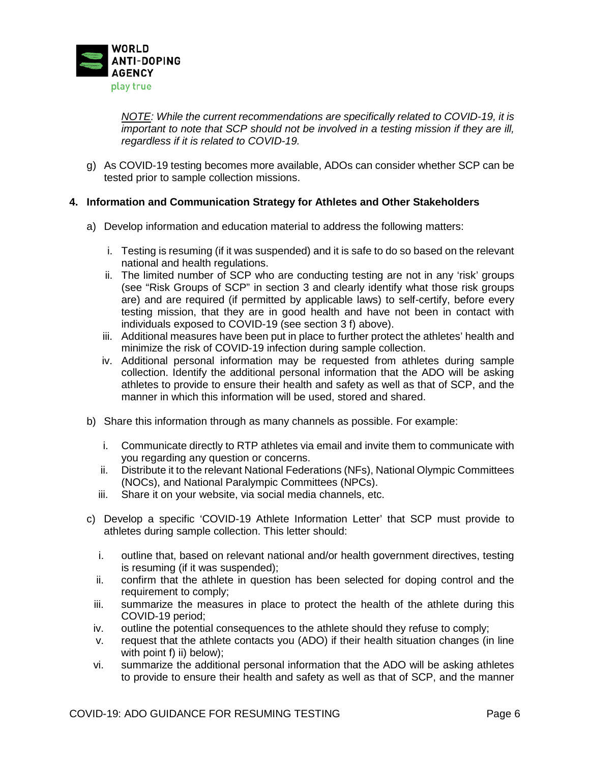

*NOTE: While the current recommendations are specifically related to COVID-19, it is important to note that SCP should not be involved in a testing mission if they are ill, regardless if it is related to COVID-19.* 

g) As COVID-19 testing becomes more available, ADOs can consider whether SCP can be tested prior to sample collection missions.

# **4. Information and Communication Strategy for Athletes and Other Stakeholders**

- a) Develop information and education material to address the following matters:
	- i. Testing is resuming (if it was suspended) and it is safe to do so based on the relevant national and health regulations.
	- ii. The limited number of SCP who are conducting testing are not in any 'risk' groups (see "Risk Groups of SCP" in section 3 and clearly identify what those risk groups are) and are required (if permitted by applicable laws) to self-certify, before every testing mission, that they are in good health and have not been in contact with individuals exposed to COVID-19 (see section 3 f) above).
	- iii. Additional measures have been put in place to further protect the athletes' health and minimize the risk of COVID-19 infection during sample collection.
	- iv. Additional personal information may be requested from athletes during sample collection. Identify the additional personal information that the ADO will be asking athletes to provide to ensure their health and safety as well as that of SCP, and the manner in which this information will be used, stored and shared.
- b) Share this information through as many channels as possible. For example:
	- i. Communicate directly to RTP athletes via email and invite them to communicate with you regarding any question or concerns.
	- ii. Distribute it to the relevant National Federations (NFs), National Olympic Committees (NOCs), and National Paralympic Committees (NPCs).
	- iii. Share it on your website, via social media channels, etc.
- c) Develop a specific 'COVID-19 Athlete Information Letter' that SCP must provide to athletes during sample collection. This letter should:
	- i. outline that, based on relevant national and/or health government directives, testing is resuming (if it was suspended);
	- ii. confirm that the athlete in question has been selected for doping control and the requirement to comply;
	- iii. summarize the measures in place to protect the health of the athlete during this COVID-19 period;
	- iv. outline the potential consequences to the athlete should they refuse to comply;
	- v. request that the athlete contacts you (ADO) if their health situation changes (in line with point f) ii) below);
	- vi. summarize the additional personal information that the ADO will be asking athletes to provide to ensure their health and safety as well as that of SCP, and the manner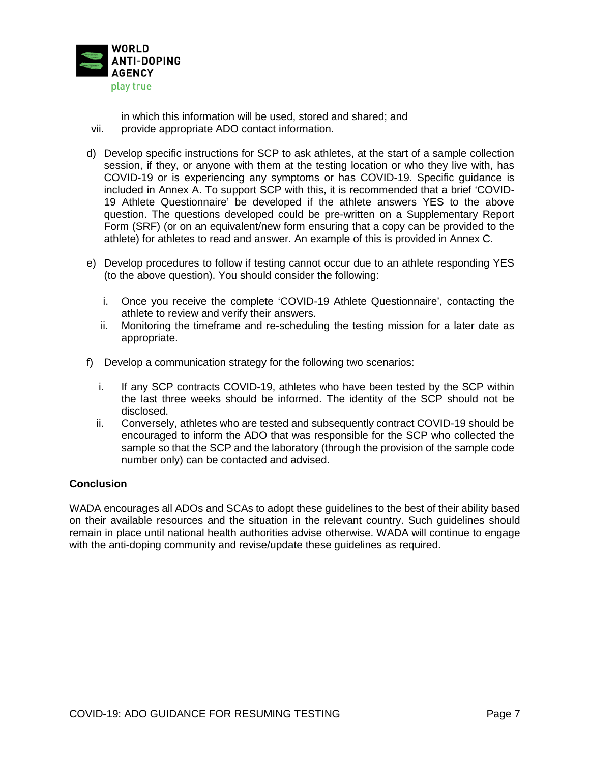

in which this information will be used, stored and shared; and

- vii. provide appropriate ADO contact information.
- d) Develop specific instructions for SCP to ask athletes, at the start of a sample collection session, if they, or anyone with them at the testing location or who they live with, has COVID-19 or is experiencing any symptoms or has COVID-19. Specific guidance is included in Annex A. To support SCP with this, it is recommended that a brief 'COVID-19 Athlete Questionnaire' be developed if the athlete answers YES to the above question. The questions developed could be pre-written on a Supplementary Report Form (SRF) (or on an equivalent/new form ensuring that a copy can be provided to the athlete) for athletes to read and answer. An example of this is provided in Annex C.
- e) Develop procedures to follow if testing cannot occur due to an athlete responding YES (to the above question). You should consider the following:
	- i. Once you receive the complete 'COVID-19 Athlete Questionnaire', contacting the athlete to review and verify their answers.
	- ii. Monitoring the timeframe and re-scheduling the testing mission for a later date as appropriate.
- f) Develop a communication strategy for the following two scenarios:
	- i. If any SCP contracts COVID-19, athletes who have been tested by the SCP within the last three weeks should be informed. The identity of the SCP should not be disclosed.
	- ii. Conversely, athletes who are tested and subsequently contract COVID-19 should be encouraged to inform the ADO that was responsible for the SCP who collected the sample so that the SCP and the laboratory (through the provision of the sample code number only) can be contacted and advised.

# **Conclusion**

WADA encourages all ADOs and SCAs to adopt these guidelines to the best of their ability based on their available resources and the situation in the relevant country. Such guidelines should remain in place until national health authorities advise otherwise. WADA will continue to engage with the anti-doping community and revise/update these guidelines as required.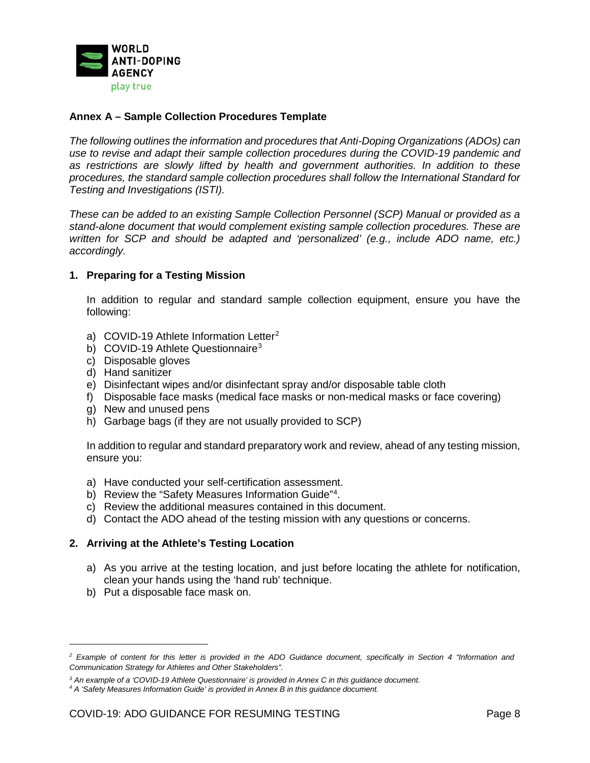

# **Annex A – Sample Collection Procedures Template**

*The following outlines the information and procedures that Anti-Doping Organizations (ADOs) can use to revise and adapt their sample collection procedures during the COVID-19 pandemic and as restrictions are slowly lifted by health and government authorities. In addition to these procedures, the standard sample collection procedures shall follow the International Standard for Testing and Investigations (ISTI).*

*These can be added to an existing Sample Collection Personnel (SCP) Manual or provided as a stand-alone document that would complement existing sample collection procedures. These are written for SCP and should be adapted and 'personalized' (e.g., include ADO name, etc.) accordingly.* 

### **1. Preparing for a Testing Mission**

In addition to regular and standard sample collection equipment, ensure you have the following:

- a) COVID-19 Athlete Information Letter<sup>[2](#page-7-0)</sup>
- b) COVID-19 Athlete Questionnaire<sup>[3](#page-7-1)</sup>
- c) Disposable gloves
- d) Hand sanitizer
- e) Disinfectant wipes and/or disinfectant spray and/or disposable table cloth
- f) Disposable face masks (medical face masks or non-medical masks or face covering)
- g) New and unused pens
- h) Garbage bags (if they are not usually provided to SCP)

In addition to regular and standard preparatory work and review, ahead of any testing mission, ensure you:

- a) Have conducted your self-certification assessment.
- b) Review the "Safety Measures Information Guide"<sup>[4](#page-7-2)</sup>.
- c) Review the additional measures contained in this document.
- d) Contact the ADO ahead of the testing mission with any questions or concerns.

### **2. Arriving at the Athlete's Testing Location**

- a) As you arrive at the testing location, and just before locating the athlete for notification, clean your hands using the 'hand rub' technique.
- b) Put a disposable face mask on.

1

<span id="page-7-0"></span>*<sup>2</sup> Example of content for this letter is provided in the ADO Guidance document, specifically in Section 4 "Information and Communication Strategy for Athletes and Other Stakeholders".*

<span id="page-7-1"></span>*<sup>3</sup> An example of a 'COVID-19 Athlete Questionnaire' is provided in Annex C in this guidance document. 4 A 'Safety Measures Information Guide' is provided in Annex B in this guidance document.* 

<span id="page-7-2"></span>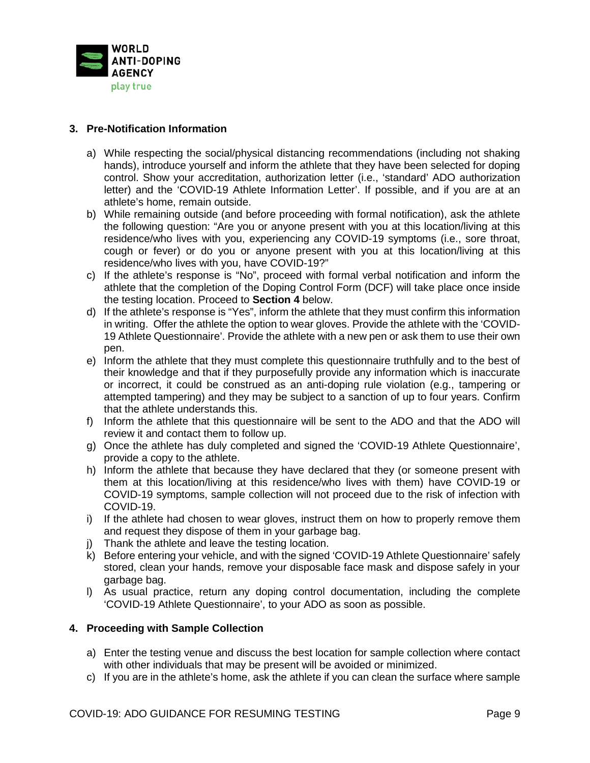

# **3. Pre-Notification Information**

- a) While respecting the social/physical distancing recommendations (including not shaking hands), introduce yourself and inform the athlete that they have been selected for doping control. Show your accreditation, authorization letter (i.e., 'standard' ADO authorization letter) and the 'COVID-19 Athlete Information Letter'. If possible, and if you are at an athlete's home, remain outside.
- b) While remaining outside (and before proceeding with formal notification), ask the athlete the following question: "Are you or anyone present with you at this location/living at this residence/who lives with you, experiencing any COVID-19 symptoms (i.e., sore throat, cough or fever) or do you or anyone present with you at this location/living at this residence/who lives with you, have COVID-19?"
- c) If the athlete's response is "No", proceed with formal verbal notification and inform the athlete that the completion of the Doping Control Form (DCF) will take place once inside the testing location. Proceed to **Section 4** below.
- d) If the athlete's response is "Yes", inform the athlete that they must confirm this information in writing. Offer the athlete the option to wear gloves. Provide the athlete with the 'COVID-19 Athlete Questionnaire'. Provide the athlete with a new pen or ask them to use their own pen.
- e) Inform the athlete that they must complete this questionnaire truthfully and to the best of their knowledge and that if they purposefully provide any information which is inaccurate or incorrect, it could be construed as an anti-doping rule violation (e.g., tampering or attempted tampering) and they may be subject to a sanction of up to four years. Confirm that the athlete understands this.
- f) Inform the athlete that this questionnaire will be sent to the ADO and that the ADO will review it and contact them to follow up.
- g) Once the athlete has duly completed and signed the 'COVID-19 Athlete Questionnaire', provide a copy to the athlete.
- h) Inform the athlete that because they have declared that they (or someone present with them at this location/living at this residence/who lives with them) have COVID-19 or COVID-19 symptoms, sample collection will not proceed due to the risk of infection with COVID-19.
- i) If the athlete had chosen to wear gloves, instruct them on how to properly remove them and request they dispose of them in your garbage bag.
- j) Thank the athlete and leave the testing location.
- k) Before entering your vehicle, and with the signed 'COVID-19 Athlete Questionnaire' safely stored, clean your hands, remove your disposable face mask and dispose safely in your garbage bag.
- l) As usual practice, return any doping control documentation, including the complete 'COVID-19 Athlete Questionnaire', to your ADO as soon as possible.

# **4. Proceeding with Sample Collection**

- a) Enter the testing venue and discuss the best location for sample collection where contact with other individuals that may be present will be avoided or minimized.
- c) If you are in the athlete's home, ask the athlete if you can clean the surface where sample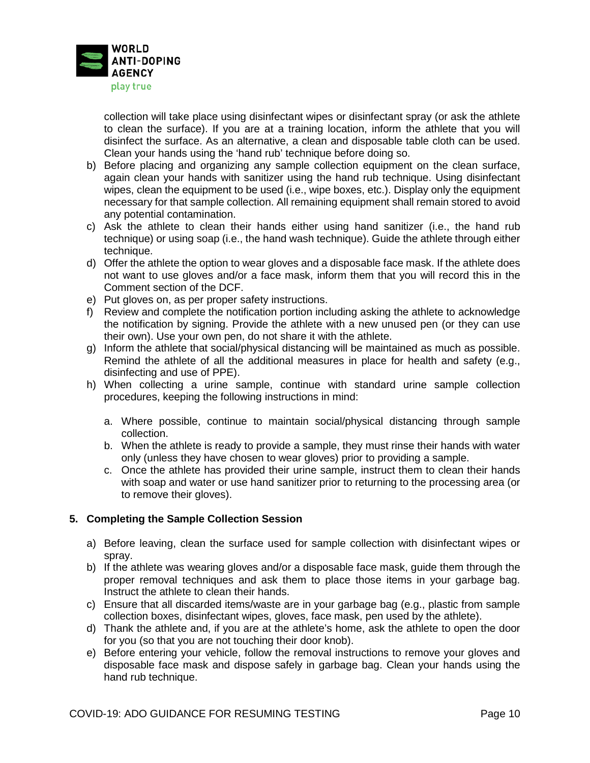

collection will take place using disinfectant wipes or disinfectant spray (or ask the athlete to clean the surface). If you are at a training location, inform the athlete that you will disinfect the surface. As an alternative, a clean and disposable table cloth can be used. Clean your hands using the 'hand rub' technique before doing so.

- b) Before placing and organizing any sample collection equipment on the clean surface, again clean your hands with sanitizer using the hand rub technique. Using disinfectant wipes, clean the equipment to be used (i.e., wipe boxes, etc.). Display only the equipment necessary for that sample collection. All remaining equipment shall remain stored to avoid any potential contamination.
- c) Ask the athlete to clean their hands either using hand sanitizer (i.e., the hand rub technique) or using soap (i.e., the hand wash technique). Guide the athlete through either technique.
- d) Offer the athlete the option to wear gloves and a disposable face mask. If the athlete does not want to use gloves and/or a face mask, inform them that you will record this in the Comment section of the DCF.
- e) Put gloves on, as per proper safety instructions.
- f) Review and complete the notification portion including asking the athlete to acknowledge the notification by signing. Provide the athlete with a new unused pen (or they can use their own). Use your own pen, do not share it with the athlete.
- g) Inform the athlete that social/physical distancing will be maintained as much as possible. Remind the athlete of all the additional measures in place for health and safety (e.g., disinfecting and use of PPE).
- h) When collecting a urine sample, continue with standard urine sample collection procedures, keeping the following instructions in mind:
	- a. Where possible, continue to maintain social/physical distancing through sample collection.
	- b. When the athlete is ready to provide a sample, they must rinse their hands with water only (unless they have chosen to wear gloves) prior to providing a sample.
	- c. Once the athlete has provided their urine sample, instruct them to clean their hands with soap and water or use hand sanitizer prior to returning to the processing area (or to remove their gloves).

# **5. Completing the Sample Collection Session**

- a) Before leaving, clean the surface used for sample collection with disinfectant wipes or spray.
- b) If the athlete was wearing gloves and/or a disposable face mask, guide them through the proper removal techniques and ask them to place those items in your garbage bag. Instruct the athlete to clean their hands.
- c) Ensure that all discarded items/waste are in your garbage bag (e.g., plastic from sample collection boxes, disinfectant wipes, gloves, face mask, pen used by the athlete).
- d) Thank the athlete and, if you are at the athlete's home, ask the athlete to open the door for you (so that you are not touching their door knob).
- e) Before entering your vehicle, follow the removal instructions to remove your gloves and disposable face mask and dispose safely in garbage bag. Clean your hands using the hand rub technique.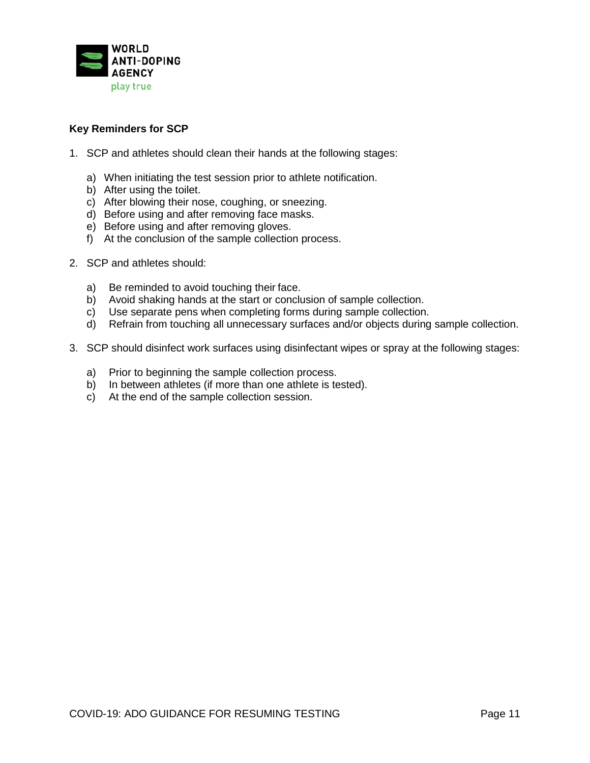

# **Key Reminders for SCP**

- 1. SCP and athletes should clean their hands at the following stages:
	- a) When initiating the test session prior to athlete notification.
	- b) After using the toilet.
	- c) After blowing their nose, coughing, or sneezing.
	- d) Before using and after removing face masks.
	- e) Before using and after removing gloves.
	- f) At the conclusion of the sample collection process.
- 2. SCP and athletes should:
	- a) Be reminded to avoid touching their face.
	- b) Avoid shaking hands at the start or conclusion of sample collection.
	- c) Use separate pens when completing forms during sample collection.
	- d) Refrain from touching all unnecessary surfaces and/or objects during sample collection.
- 3. SCP should disinfect work surfaces using disinfectant wipes or spray at the following stages:
	- a) Prior to beginning the sample collection process.
	- b) In between athletes (if more than one athlete is tested).
	- c) At the end of the sample collection session.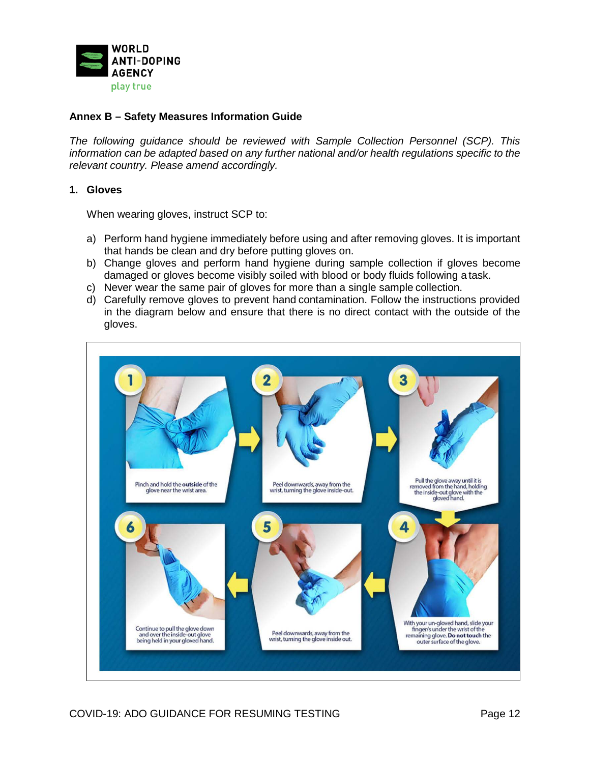

# **Annex B – Safety Measures Information Guide**

*The following guidance should be reviewed with Sample Collection Personnel (SCP). This information can be adapted based on any further national and/or health regulations specific to the relevant country. Please amend accordingly.* 

### **1. Gloves**

When wearing gloves, instruct SCP to:

- a) Perform hand hygiene immediately before using and after removing gloves. It is important that hands be clean and dry before putting gloves on.
- b) Change gloves and perform hand hygiene during sample collection if gloves become damaged or gloves become visibly soiled with blood or body fluids following a task.
- c) Never wear the same pair of gloves for more than a single sample collection.
- d) Carefully remove gloves to prevent hand contamination. Follow the instructions provided in the diagram below and ensure that there is no direct contact with the outside of the gloves.

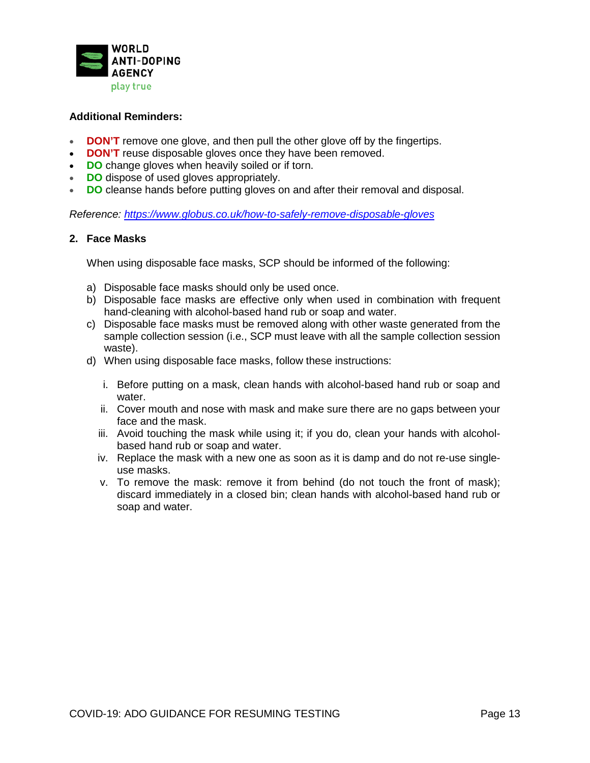

# **Additional Reminders:**

- **DON'T** remove one glove, and then pull the other glove off by the fingertips.
- **DON'T** reuse disposable gloves once they have been removed.
- **DO** change gloves when heavily soiled or if torn.
- **DO** dispose of used gloves appropriately.
- **DO** cleanse hands before putting gloves on and after their removal and disposal.

*Reference:<https://www.globus.co.uk/how-to-safely-remove-disposable-gloves>*

# **2. Face Masks**

When using disposable face masks, SCP should be informed of the following:

- a) Disposable face masks should only be used once.
- b) Disposable face masks are effective only when used in combination with frequent hand-cleaning with alcohol-based hand rub or soap and water.
- c) Disposable face masks must be removed along with other waste generated from the sample collection session (i.e., SCP must leave with all the sample collection session waste).
- d) When using disposable face masks, follow these instructions:
	- i. Before putting on a mask, clean hands with alcohol-based hand rub or soap and water.
	- ii. Cover mouth and nose with mask and make sure there are no gaps between your face and the mask.
	- iii. Avoid touching the mask while using it; if you do, clean your hands with alcoholbased hand rub or soap and water.
	- iv. Replace the mask with a new one as soon as it is damp and do not re-use singleuse masks.
	- v. To remove the mask: remove it from behind (do not touch the front of mask); discard immediately in a closed bin; clean hands with alcohol-based hand rub or soap and water.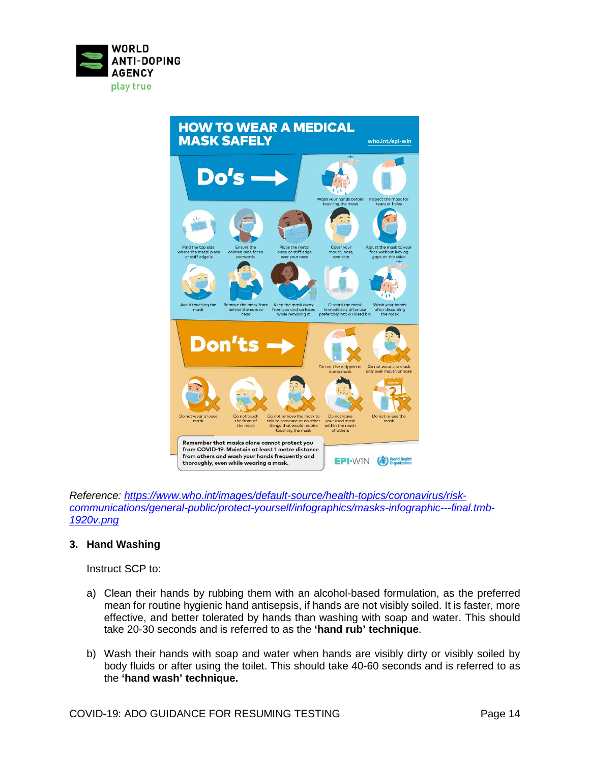



*Reference: [https://www.who.int/images/default-source/health-topics/coronavirus/risk](https://www.who.int/images/default-source/health-topics/coronavirus/risk-communications/general-public/protect-yourself/infographics/masks-infographic---final.tmb-1920v.png)[communications/general-public/protect-yourself/infographics/masks-infographic---final.tmb-](https://www.who.int/images/default-source/health-topics/coronavirus/risk-communications/general-public/protect-yourself/infographics/masks-infographic---final.tmb-1920v.png)[1920v.png](https://www.who.int/images/default-source/health-topics/coronavirus/risk-communications/general-public/protect-yourself/infographics/masks-infographic---final.tmb-1920v.png)*

### **3. Hand Washing**

Instruct SCP to:

- a) Clean their hands by rubbing them with an alcohol-based formulation, as the preferred mean for routine hygienic hand antisepsis, if hands are not visibly soiled. It is faster, more effective, and better tolerated by hands than washing with soap and water. This should take 20-30 seconds and is referred to as the **'hand rub' technique**.
- b) Wash their hands with soap and water when hands are visibly dirty or visibly soiled by body fluids or after using the toilet. This should take 40-60 seconds and is referred to as the **'hand wash' technique.**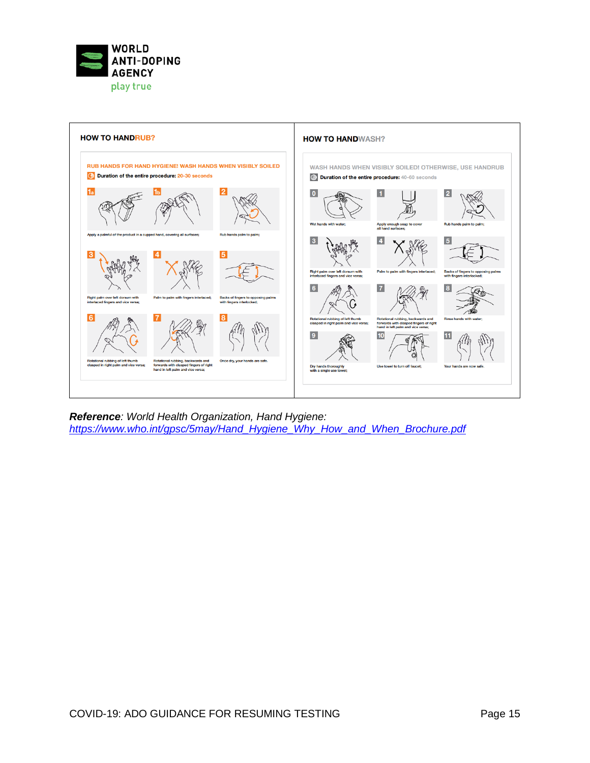



*Reference: World Health Organization, Hand Hygiene: [https://www.who.int/gpsc/5may/Hand\\_Hygiene\\_Why\\_How\\_and\\_When\\_Brochure.pdf](https://www.who.int/gpsc/5may/Hand_Hygiene_Why_How_and_When_Brochure.pdf)*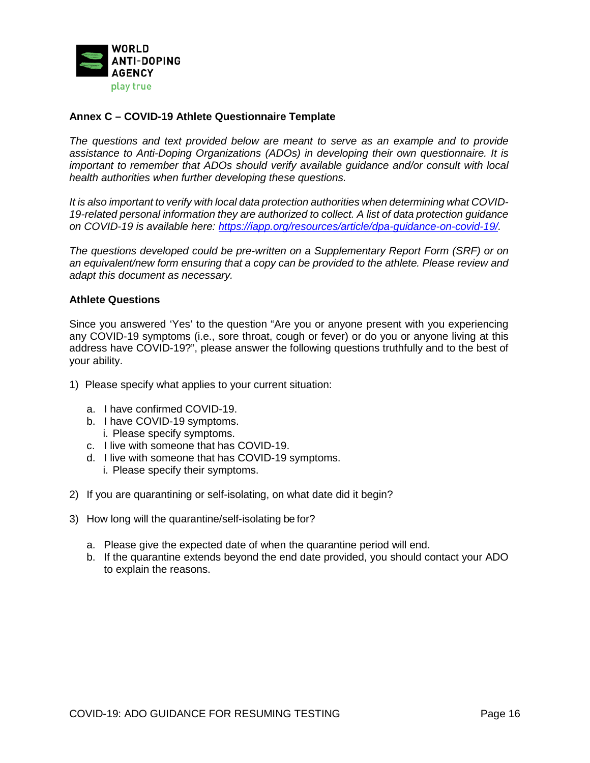

## **Annex C – COVID-19 Athlete Questionnaire Template**

*The questions and text provided below are meant to serve as an example and to provide assistance to Anti-Doping Organizations (ADOs) in developing their own questionnaire. It is important to remember that ADOs should verify available guidance and/or consult with local health authorities when further developing these questions.* 

*It is also important to verify with local data protection authorities when determining what COVID-19-related personal information they are authorized to collect. A list of data protection guidance on COVID-19 is available here: [https://iapp.org/resources/article/dpa-guidance-on-covid-19/.](https://iapp.org/resources/article/dpa-guidance-on-covid-19/)*

*The questions developed could be pre-written on a Supplementary Report Form (SRF) or on an equivalent/new form ensuring that a copy can be provided to the athlete. Please review and adapt this document as necessary.* 

### **Athlete Questions**

Since you answered 'Yes' to the question "Are you or anyone present with you experiencing any COVID-19 symptoms (i.e., sore throat, cough or fever) or do you or anyone living at this address have COVID-19?", please answer the following questions truthfully and to the best of your ability.

- 1) Please specify what applies to your current situation:
	- a. I have confirmed COVID-19.
	- b. I have COVID-19 symptoms.
		- i. Please specify symptoms.
	- c. I live with someone that has COVID-19.
	- d. I live with someone that has COVID-19 symptoms. i. Please specify their symptoms.
- 2) If you are quarantining or self-isolating, on what date did it begin?
- 3) How long will the quarantine/self-isolating be for?
	- a. Please give the expected date of when the quarantine period will end.
	- b. If the quarantine extends beyond the end date provided, you should contact your ADO to explain the reasons.